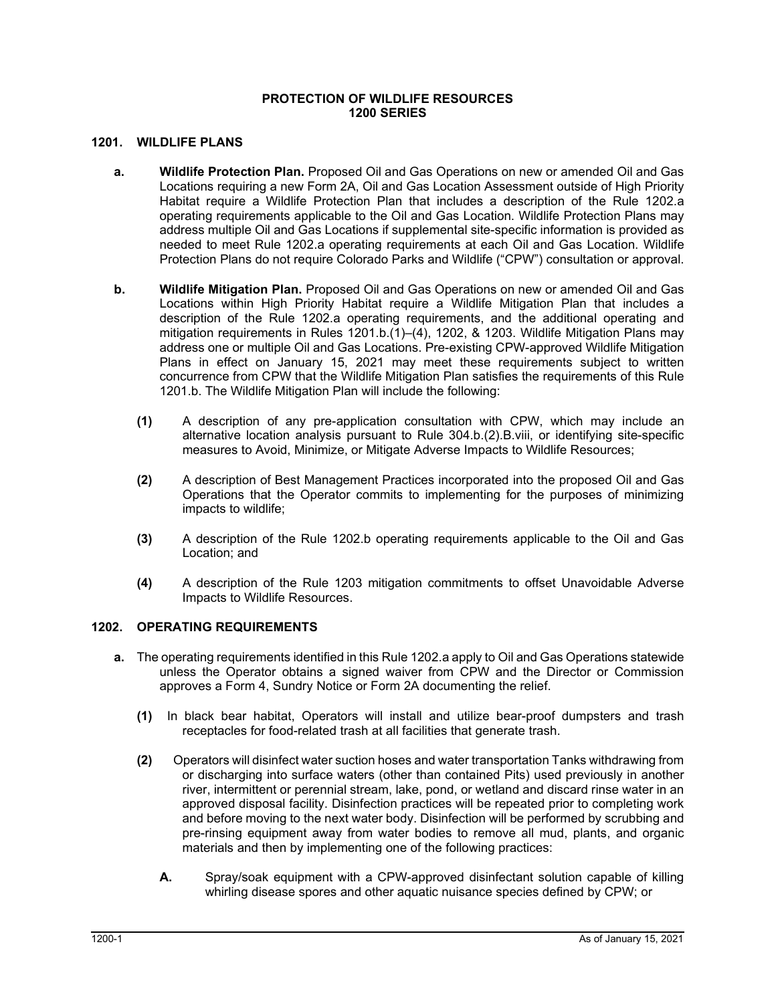## **PROTECTION OF WILDLIFE RESOURCES 1200 SERIES**

## **1201. WILDLIFE PLANS**

- **a. Wildlife Protection Plan.** Proposed Oil and Gas Operations on new or amended Oil and Gas Locations requiring a new Form 2A, Oil and Gas Location Assessment outside of High Priority Habitat require a Wildlife Protection Plan that includes a description of the Rule 1202.a operating requirements applicable to the Oil and Gas Location. Wildlife Protection Plans may address multiple Oil and Gas Locations if supplemental site-specific information is provided as needed to meet Rule 1202.a operating requirements at each Oil and Gas Location. Wildlife Protection Plans do not require Colorado Parks and Wildlife ("CPW") consultation or approval.
- **b. Wildlife Mitigation Plan.** Proposed Oil and Gas Operations on new or amended Oil and Gas Locations within High Priority Habitat require a Wildlife Mitigation Plan that includes a description of the Rule 1202.a operating requirements, and the additional operating and mitigation requirements in Rules 1201.b.(1)–(4), 1202, & 1203. Wildlife Mitigation Plans may address one or multiple Oil and Gas Locations. Pre-existing CPW-approved Wildlife Mitigation Plans in effect on January 15, 2021 may meet these requirements subject to written concurrence from CPW that the Wildlife Mitigation Plan satisfies the requirements of this Rule 1201.b. The Wildlife Mitigation Plan will include the following:
	- **(1)** A description of any pre-application consultation with CPW, which may include an alternative location analysis pursuant to Rule 304.b.(2).B.viii, or identifying site-specific measures to Avoid, Minimize, or Mitigate Adverse Impacts to Wildlife Resources;
	- **(2)** A description of Best Management Practices incorporated into the proposed Oil and Gas Operations that the Operator commits to implementing for the purposes of minimizing impacts to wildlife;
	- **(3)** A description of the Rule 1202.b operating requirements applicable to the Oil and Gas Location; and
	- **(4)** A description of the Rule 1203 mitigation commitments to offset Unavoidable Adverse Impacts to Wildlife Resources.

#### **1202. OPERATING REQUIREMENTS**

- **a.** The operating requirements identified in this Rule 1202.a apply to Oil and Gas Operations statewide unless the Operator obtains a signed waiver from CPW and the Director or Commission approves a Form 4, Sundry Notice or Form 2A documenting the relief.
	- **(1)** In black bear habitat, Operators will install and utilize bear-proof dumpsters and trash receptacles for food-related trash at all facilities that generate trash.
	- **(2)** Operators will disinfect water suction hoses and water transportation Tanks withdrawing from or discharging into surface waters (other than contained Pits) used previously in another river, intermittent or perennial stream, lake, pond, or wetland and discard rinse water in an approved disposal facility. Disinfection practices will be repeated prior to completing work and before moving to the next water body. Disinfection will be performed by scrubbing and pre-rinsing equipment away from water bodies to remove all mud, plants, and organic materials and then by implementing one of the following practices:
		- **A.** Spray/soak equipment with a CPW-approved disinfectant solution capable of killing whirling disease spores and other aquatic nuisance species defined by CPW; or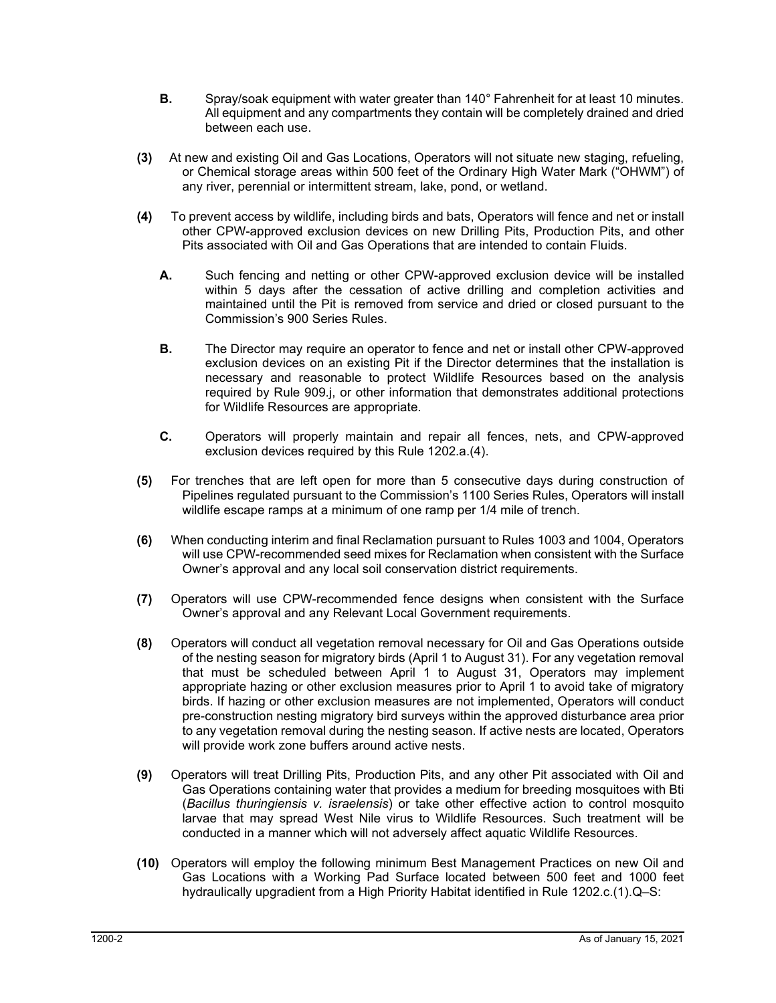- **B.** Spray/soak equipment with water greater than 140° Fahrenheit for at least 10 minutes. All equipment and any compartments they contain will be completely drained and dried between each use.
- **(3)** At new and existing Oil and Gas Locations, Operators will not situate new staging, refueling, or Chemical storage areas within 500 feet of the Ordinary High Water Mark ("OHWM") of any river, perennial or intermittent stream, lake, pond, or wetland.
- **(4)** To prevent access by wildlife, including birds and bats, Operators will fence and net or install other CPW-approved exclusion devices on new Drilling Pits, Production Pits, and other Pits associated with Oil and Gas Operations that are intended to contain Fluids.
	- **A.** Such fencing and netting or other CPW-approved exclusion device will be installed within 5 days after the cessation of active drilling and completion activities and maintained until the Pit is removed from service and dried or closed pursuant to the Commission's 900 Series Rules.
	- **B.** The Director may require an operator to fence and net or install other CPW-approved exclusion devices on an existing Pit if the Director determines that the installation is necessary and reasonable to protect Wildlife Resources based on the analysis required by Rule 909.j, or other information that demonstrates additional protections for Wildlife Resources are appropriate.
	- **C.** Operators will properly maintain and repair all fences, nets, and CPW-approved exclusion devices required by this Rule 1202.a.(4).
- **(5)** For trenches that are left open for more than 5 consecutive days during construction of Pipelines regulated pursuant to the Commission's 1100 Series Rules, Operators will install wildlife escape ramps at a minimum of one ramp per 1/4 mile of trench.
- **(6)** When conducting interim and final Reclamation pursuant to Rules 1003 and 1004, Operators will use CPW-recommended seed mixes for Reclamation when consistent with the Surface Owner's approval and any local soil conservation district requirements.
- **(7)** Operators will use CPW-recommended fence designs when consistent with the Surface Owner's approval and any Relevant Local Government requirements.
- **(8)** Operators will conduct all vegetation removal necessary for Oil and Gas Operations outside of the nesting season for migratory birds (April 1 to August 31). For any vegetation removal that must be scheduled between April 1 to August 31, Operators may implement appropriate hazing or other exclusion measures prior to April 1 to avoid take of migratory birds. If hazing or other exclusion measures are not implemented, Operators will conduct pre-construction nesting migratory bird surveys within the approved disturbance area prior to any vegetation removal during the nesting season. If active nests are located, Operators will provide work zone buffers around active nests.
- **(9)** Operators will treat Drilling Pits, Production Pits, and any other Pit associated with Oil and Gas Operations containing water that provides a medium for breeding mosquitoes with Bti (*Bacillus thuringiensis v. israelensis*) or take other effective action to control mosquito larvae that may spread West Nile virus to Wildlife Resources. Such treatment will be conducted in a manner which will not adversely affect aquatic Wildlife Resources.
- **(10)** Operators will employ the following minimum Best Management Practices on new Oil and Gas Locations with a Working Pad Surface located between 500 feet and 1000 feet hydraulically upgradient from a High Priority Habitat identified in Rule 1202.c.(1).Q–S: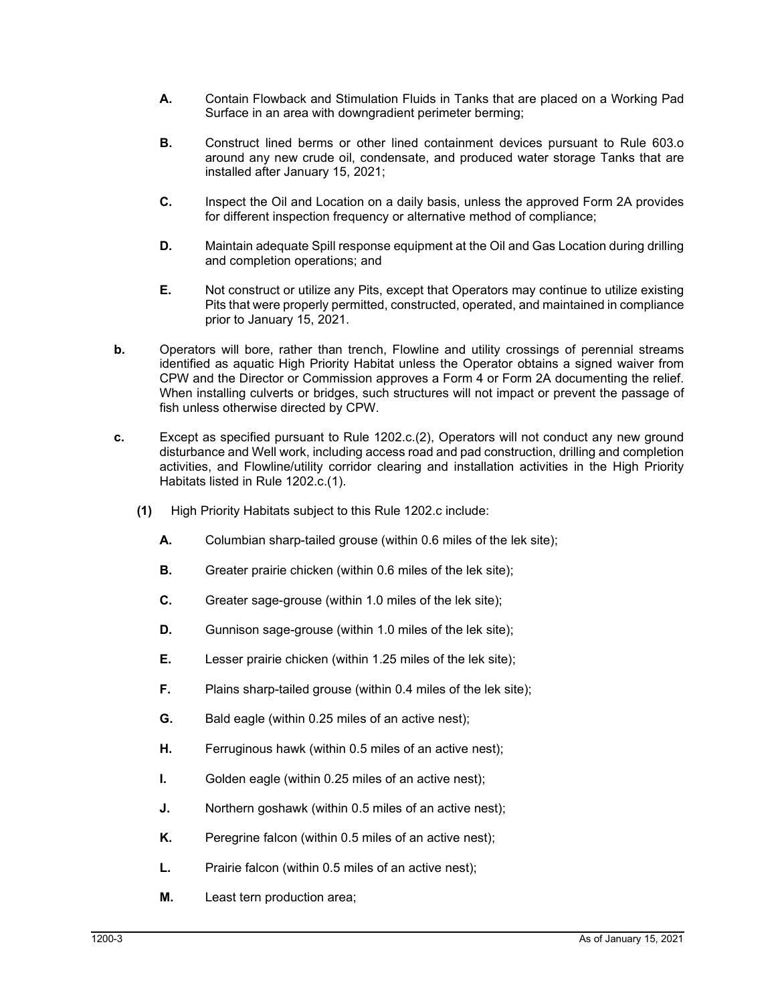- **A.** Contain Flowback and Stimulation Fluids in Tanks that are placed on a Working Pad Surface in an area with downgradient perimeter berming;
- **B.** Construct lined berms or other lined containment devices pursuant to Rule 603.o around any new crude oil, condensate, and produced water storage Tanks that are installed after January 15, 2021;
- **C.** Inspect the Oil and Location on a daily basis, unless the approved Form 2A provides for different inspection frequency or alternative method of compliance;
- **D.** Maintain adequate Spill response equipment at the Oil and Gas Location during drilling and completion operations; and
- **E.** Not construct or utilize any Pits, except that Operators may continue to utilize existing Pits that were properly permitted, constructed, operated, and maintained in compliance prior to January 15, 2021.
- **b.** Operators will bore, rather than trench, Flowline and utility crossings of perennial streams identified as aquatic High Priority Habitat unless the Operator obtains a signed waiver from CPW and the Director or Commission approves a Form 4 or Form 2A documenting the relief. When installing culverts or bridges, such structures will not impact or prevent the passage of fish unless otherwise directed by CPW.
- **c.** Except as specified pursuant to Rule 1202.c.(2), Operators will not conduct any new ground disturbance and Well work, including access road and pad construction, drilling and completion activities, and Flowline/utility corridor clearing and installation activities in the High Priority Habitats listed in Rule 1202.c.(1).
	- **(1)** High Priority Habitats subject to this Rule 1202.c include:
		- **A.** Columbian sharp-tailed grouse (within 0.6 miles of the lek site);
		- **B.** Greater prairie chicken (within 0.6 miles of the lek site);
		- **C.** Greater sage-grouse (within 1.0 miles of the lek site);
		- **D.** Gunnison sage-grouse (within 1.0 miles of the lek site);
		- **E.** Lesser prairie chicken (within 1.25 miles of the lek site);
		- **F.** Plains sharp-tailed grouse (within 0.4 miles of the lek site);
		- **G.** Bald eagle (within 0.25 miles of an active nest);
		- **H.** Ferruginous hawk (within 0.5 miles of an active nest);
		- **I.** Golden eagle (within 0.25 miles of an active nest);
		- **J.** Northern goshawk (within 0.5 miles of an active nest);
		- **K.** Peregrine falcon (within 0.5 miles of an active nest);
		- **L.** Prairie falcon (within 0.5 miles of an active nest);
		- **M.** Least tern production area;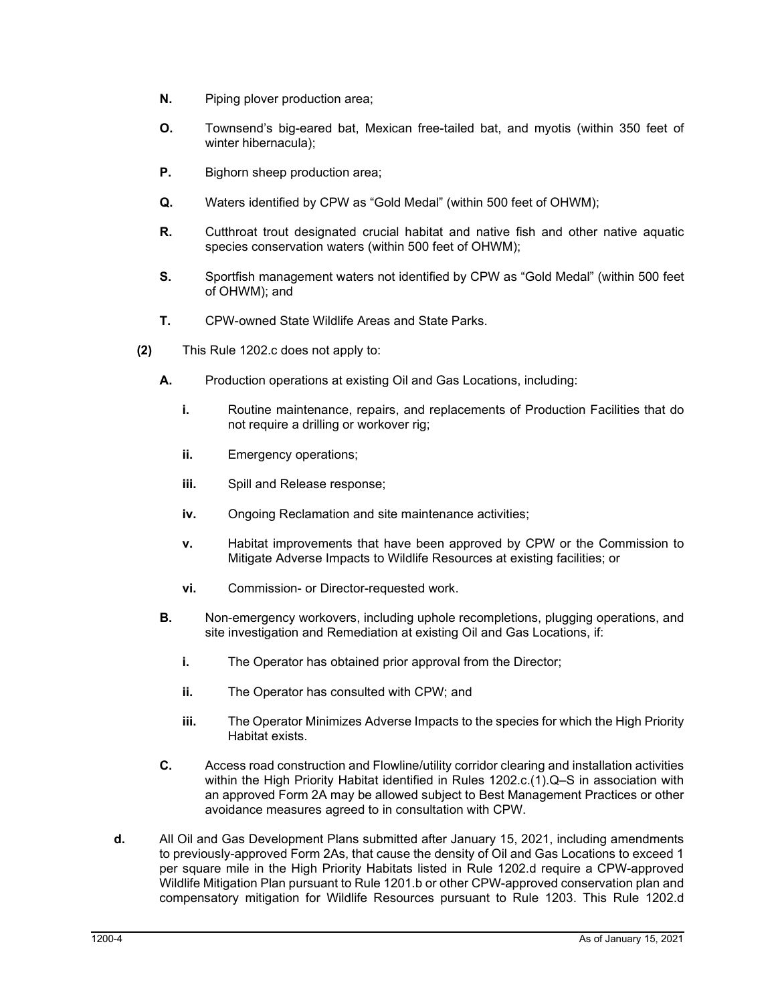- **N.** Piping plover production area;
- **O.** Townsend's big-eared bat, Mexican free-tailed bat, and myotis (within 350 feet of winter hibernacula);
- **P.** Bighorn sheep production area;
- **Q.** Waters identified by CPW as "Gold Medal" (within 500 feet of OHWM);
- **R.** Cutthroat trout designated crucial habitat and native fish and other native aquatic species conservation waters (within 500 feet of OHWM);
- **S.** Sportfish management waters not identified by CPW as "Gold Medal" (within 500 feet of OHWM); and
- **T.** CPW-owned State Wildlife Areas and State Parks.
- **(2)** This Rule 1202.c does not apply to:
	- **A.** Production operations at existing Oil and Gas Locations, including:
		- **i.** Routine maintenance, repairs, and replacements of Production Facilities that do not require a drilling or workover rig;
		- **ii.** Emergency operations:
		- **iii.** Spill and Release response;
		- **iv.** Ongoing Reclamation and site maintenance activities;
		- **v.** Habitat improvements that have been approved by CPW or the Commission to Mitigate Adverse Impacts to Wildlife Resources at existing facilities; or
		- **vi.** Commission- or Director-requested work.
	- **B.** Non-emergency workovers, including uphole recompletions, plugging operations, and site investigation and Remediation at existing Oil and Gas Locations, if:
		- **i.** The Operator has obtained prior approval from the Director;
		- **ii.** The Operator has consulted with CPW; and
		- **iii.** The Operator Minimizes Adverse Impacts to the species for which the High Priority Habitat exists.
	- **C.** Access road construction and Flowline/utility corridor clearing and installation activities within the High Priority Habitat identified in Rules 1202.c.(1).Q–S in association with an approved Form 2A may be allowed subject to Best Management Practices or other avoidance measures agreed to in consultation with CPW.
- **d.** All Oil and Gas Development Plans submitted after January 15, 2021, including amendments to previously-approved Form 2As, that cause the density of Oil and Gas Locations to exceed 1 per square mile in the High Priority Habitats listed in Rule 1202.d require a CPW-approved Wildlife Mitigation Plan pursuant to Rule 1201.b or other CPW-approved conservation plan and compensatory mitigation for Wildlife Resources pursuant to Rule 1203. This Rule 1202.d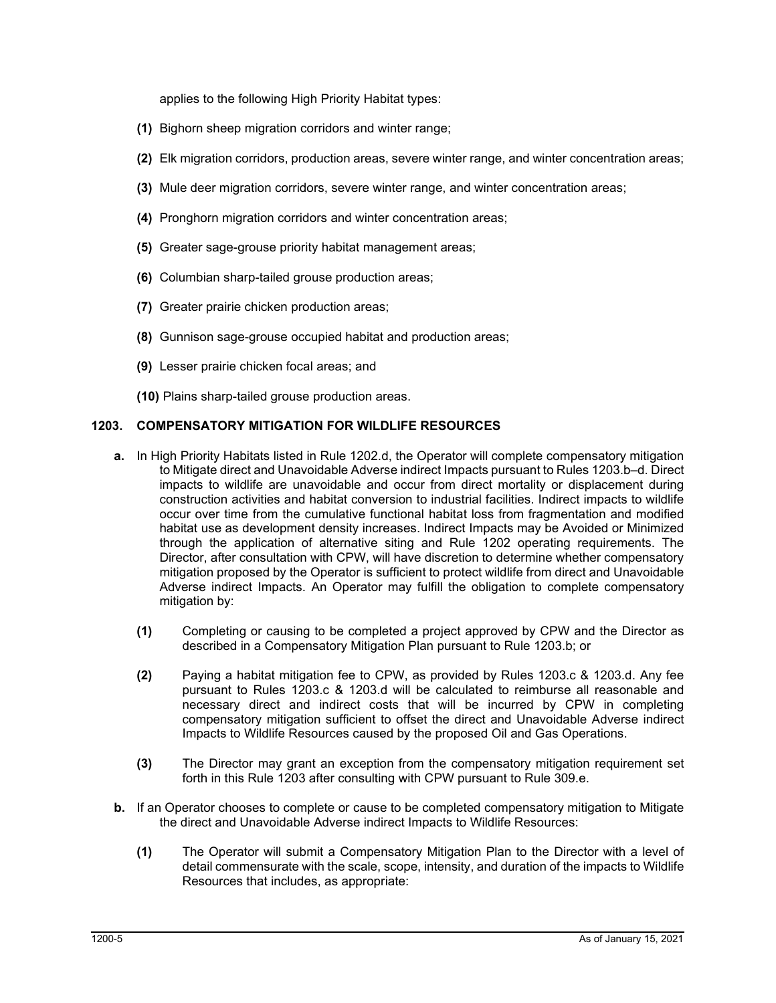applies to the following High Priority Habitat types:

- **(1)** Bighorn sheep migration corridors and winter range;
- **(2)** Elk migration corridors, production areas, severe winter range, and winter concentration areas;
- **(3)** Mule deer migration corridors, severe winter range, and winter concentration areas;
- **(4)** Pronghorn migration corridors and winter concentration areas;
- **(5)** Greater sage-grouse priority habitat management areas;
- **(6)** Columbian sharp-tailed grouse production areas;
- **(7)** Greater prairie chicken production areas;
- **(8)** Gunnison sage-grouse occupied habitat and production areas;
- **(9)** Lesser prairie chicken focal areas; and
- **(10)** Plains sharp-tailed grouse production areas.

# **1203. COMPENSATORY MITIGATION FOR WILDLIFE RESOURCES**

- **a.** In High Priority Habitats listed in Rule 1202.d, the Operator will complete compensatory mitigation to Mitigate direct and Unavoidable Adverse indirect Impacts pursuant to Rules 1203.b–d. Direct impacts to wildlife are unavoidable and occur from direct mortality or displacement during construction activities and habitat conversion to industrial facilities. Indirect impacts to wildlife occur over time from the cumulative functional habitat loss from fragmentation and modified habitat use as development density increases. Indirect Impacts may be Avoided or Minimized through the application of alternative siting and Rule 1202 operating requirements. The Director, after consultation with CPW, will have discretion to determine whether compensatory mitigation proposed by the Operator is sufficient to protect wildlife from direct and Unavoidable Adverse indirect Impacts. An Operator may fulfill the obligation to complete compensatory mitigation by:
	- **(1)** Completing or causing to be completed a project approved by CPW and the Director as described in a Compensatory Mitigation Plan pursuant to Rule 1203.b; or
	- **(2)** Paying a habitat mitigation fee to CPW, as provided by Rules 1203.c & 1203.d. Any fee pursuant to Rules 1203.c & 1203.d will be calculated to reimburse all reasonable and necessary direct and indirect costs that will be incurred by CPW in completing compensatory mitigation sufficient to offset the direct and Unavoidable Adverse indirect Impacts to Wildlife Resources caused by the proposed Oil and Gas Operations.
	- **(3)** The Director may grant an exception from the compensatory mitigation requirement set forth in this Rule 1203 after consulting with CPW pursuant to Rule 309.e.
- **b.** If an Operator chooses to complete or cause to be completed compensatory mitigation to Mitigate the direct and Unavoidable Adverse indirect Impacts to Wildlife Resources:
	- **(1)** The Operator will submit a Compensatory Mitigation Plan to the Director with a level of detail commensurate with the scale, scope, intensity, and duration of the impacts to Wildlife Resources that includes, as appropriate: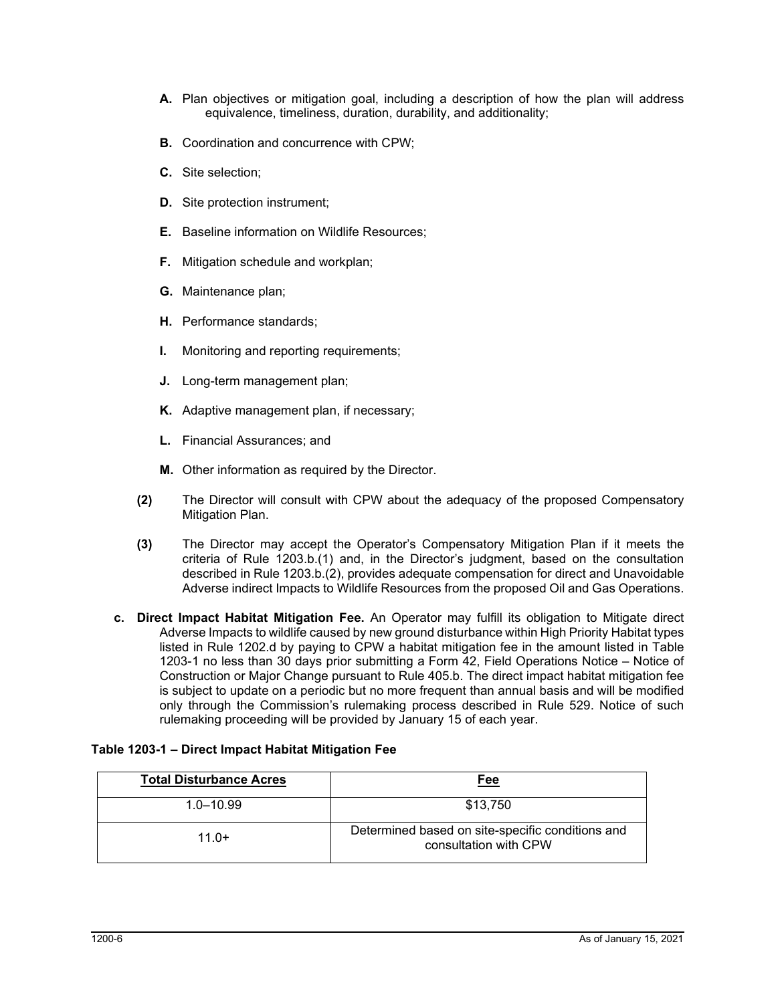- **A.** Plan objectives or mitigation goal, including a description of how the plan will address equivalence, timeliness, duration, durability, and additionality;
- **B.** Coordination and concurrence with CPW;
- **C.** Site selection;
- **D.** Site protection instrument;
- **E.** Baseline information on Wildlife Resources;
- **F.** Mitigation schedule and workplan;
- **G.** Maintenance plan;
- **H.** Performance standards;
- **I.** Monitoring and reporting requirements;
- **J.** Long-term management plan;
- **K.** Adaptive management plan, if necessary;
- **L.** Financial Assurances; and
- **M.** Other information as required by the Director.
- **(2)** The Director will consult with CPW about the adequacy of the proposed Compensatory Mitigation Plan.
- **(3)** The Director may accept the Operator's Compensatory Mitigation Plan if it meets the criteria of Rule 1203.b.(1) and, in the Director's judgment, based on the consultation described in Rule 1203.b.(2), provides adequate compensation for direct and Unavoidable Adverse indirect Impacts to Wildlife Resources from the proposed Oil and Gas Operations.
- **c. Direct Impact Habitat Mitigation Fee.** An Operator may fulfill its obligation to Mitigate direct Adverse Impacts to wildlife caused by new ground disturbance within High Priority Habitat types listed in Rule 1202.d by paying to CPW a habitat mitigation fee in the amount listed in Table 1203-1 no less than 30 days prior submitting a Form 42, Field Operations Notice – Notice of Construction or Major Change pursuant to Rule 405.b. The direct impact habitat mitigation fee is subject to update on a periodic but no more frequent than annual basis and will be modified only through the Commission's rulemaking process described in Rule 529. Notice of such rulemaking proceeding will be provided by January 15 of each year.

# **Table 1203-1 – Direct Impact Habitat Mitigation Fee**

| <b>Total Disturbance Acres</b> | Fee                                                                       |
|--------------------------------|---------------------------------------------------------------------------|
| $1.0 - 10.99$                  | \$13,750                                                                  |
| $11.0+$                        | Determined based on site-specific conditions and<br>consultation with CPW |